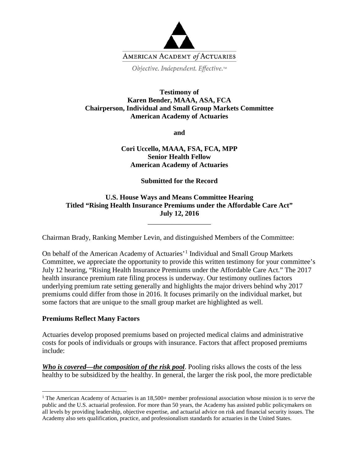

Objective. Independent. Effective.™

### **Testimony of Karen Bender, MAAA, ASA, FCA Chairperson, Individual and Small Group Markets Committee American Academy of Actuaries**

**and**

# **Cori Uccello, MAAA, FSA, FCA, MPP Senior Health Fellow American Academy of Actuaries**

**Submitted for the Record**

# **U.S. House Ways and Means Committee Hearing Titled "Rising Health Insurance Premiums under the Affordable Care Act" July 12, 2016**

\_\_\_\_\_\_\_\_\_\_\_\_\_\_\_\_\_\_

Chairman Brady, Ranking Member Levin, and distinguished Members of the Committee:

On behalf of the American Academy of Actuaries'[1](#page-0-0) Individual and Small Group Markets Committee, we appreciate the opportunity to provide this written testimony for your committee's July 12 hearing, "Rising Health Insurance Premiums under the Affordable Care Act." The 2017 health insurance premium rate filing process is underway. Our testimony outlines factors underlying premium rate setting generally and highlights the major drivers behind why 2017 premiums could differ from those in 2016. It focuses primarily on the individual market, but some factors that are unique to the small group market are highlighted as well.

### **Premiums Reflect Many Factors**

 $\overline{a}$ 

Actuaries develop proposed premiums based on projected medical claims and administrative costs for pools of individuals or groups with insurance. Factors that affect proposed premiums include:

*Who is covered—the composition of the risk pool.* Pooling risks allows the costs of the less healthy to be subsidized by the healthy. In general, the larger the risk pool, the more predictable

<span id="page-0-0"></span><sup>&</sup>lt;sup>1</sup> The American Academy of Actuaries is an  $18,500+$  member professional association whose mission is to serve the public and the U.S. actuarial profession. For more than 50 years, the Academy has assisted public policymakers on all levels by providing leadership, objective expertise, and actuarial advice on risk and financial security issues. The Academy also sets qualification, practice, and professionalism standards for actuaries in the United States.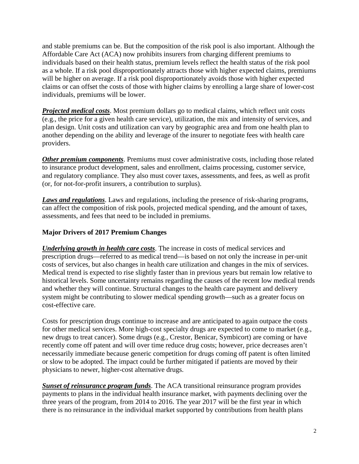and stable premiums can be. But the composition of the risk pool is also important. Although the Affordable Care Act (ACA) now prohibits insurers from charging different premiums to individuals based on their health status, premium levels reflect the health status of the risk pool as a whole. If a risk pool disproportionately attracts those with higher expected claims, premiums will be higher on average. If a risk pool disproportionately avoids those with higher expected claims or can offset the costs of those with higher claims by enrolling a large share of lower-cost individuals, premiums will be lower.

*Projected medical costs*. Most premium dollars go to medical claims, which reflect unit costs (e.g., the price for a given health care service), utilization, the mix and intensity of services, and plan design. Unit costs and utilization can vary by geographic area and from one health plan to another depending on the ability and leverage of the insurer to negotiate fees with health care providers.

*Other premium components*. Premiums must cover administrative costs, including those related to insurance product development, sales and enrollment, claims processing, customer service, and regulatory compliance. They also must cover taxes, assessments, and fees, as well as profit (or, for not-for-profit insurers, a contribution to surplus).

*Laws and regulations*. Laws and regulations, including the presence of risk-sharing programs, can affect the composition of risk pools, projected medical spending, and the amount of taxes, assessments, and fees that need to be included in premiums.

# **Major Drivers of 2017 Premium Changes**

*Underlying growth in health care costs*. The increase in costs of medical services and prescription drugs—referred to as medical trend—is based on not only the increase in per-unit costs of services, but also changes in health care utilization and changes in the mix of services. Medical trend is expected to rise slightly faster than in previous years but remain low relative to historical levels. Some uncertainty remains regarding the causes of the recent low medical trends and whether they will continue. Structural changes to the health care payment and delivery system might be contributing to slower medical spending growth—such as a greater focus on cost-effective care.

Costs for prescription drugs continue to increase and are anticipated to again outpace the costs for other medical services. More high-cost specialty drugs are expected to come to market (e.g., new drugs to treat cancer). Some drugs (e.g., Crestor, Benicar, Symbicort) are coming or have recently come off patent and will over time reduce drug costs; however, price decreases aren't necessarily immediate because generic competition for drugs coming off patent is often limited or slow to be adopted. The impact could be further mitigated if patients are moved by their physicians to newer, higher-cost alternative drugs.

*Sunset of reinsurance program funds*. The ACA transitional reinsurance program provides payments to plans in the individual health insurance market, with payments declining over the three years of the program, from 2014 to 2016. The year 2017 will be the first year in which there is no reinsurance in the individual market supported by contributions from health plans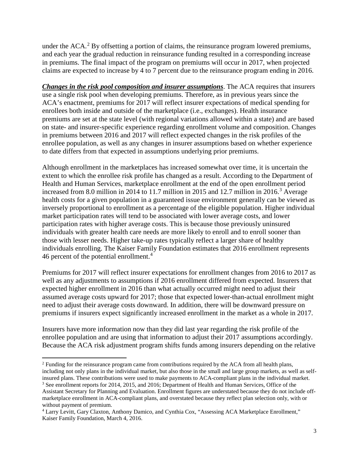under the  $ACA<sup>2</sup>$  $ACA<sup>2</sup>$  $ACA<sup>2</sup>$  By offsetting a portion of claims, the reinsurance program lowered premiums, and each year the gradual reduction in reinsurance funding resulted in a corresponding increase in premiums. The final impact of the program on premiums will occur in 2017, when projected claims are expected to increase by 4 to 7 percent due to the reinsurance program ending in 2016.

*Changes in the risk pool composition and insurer assumptions*. The ACA requires that insurers use a single risk pool when developing premiums. Therefore, as in previous years since the ACA's enactment, premiums for 2017 will reflect insurer expectations of medical spending for enrollees both inside and outside of the marketplace (i.e., exchanges). Health insurance premiums are set at the state level (with regional variations allowed within a state) and are based on state- and insurer-specific experience regarding enrollment volume and composition. Changes in premiums between 2016 and 2017 will reflect expected changes in the risk profiles of the enrollee population, as well as any changes in insurer assumptions based on whether experience to date differs from that expected in assumptions underlying prior premiums.

Although enrollment in the marketplaces has increased somewhat over time, it is uncertain the extent to which the enrollee risk profile has changed as a result. According to the Department of Health and Human Services, marketplace enrollment at the end of the open enrollment period increased from 8.0 million in 2014 to 11.7 million in 2015 and 12.7 million in 2016.<sup>[3](#page-2-1)</sup> Average health costs for a given population in a guaranteed issue environment generally can be viewed as inversely proportional to enrollment as a percentage of the eligible population. Higher individual market participation rates will tend to be associated with lower average costs, and lower participation rates with higher average costs. This is because those previously uninsured individuals with greater health care needs are more likely to enroll and to enroll sooner than those with lesser needs. Higher take-up rates typically reflect a larger share of healthy individuals enrolling. The Kaiser Family Foundation estimates that 2016 enrollment represents [4](#page-2-2)6 percent of the potential enrollment.<sup>4</sup>

Premiums for 2017 will reflect insurer expectations for enrollment changes from 2016 to 2017 as well as any adjustments to assumptions if 2016 enrollment differed from expected. Insurers that expected higher enrollment in 2016 than what actually occurred might need to adjust their assumed average costs upward for 2017; those that expected lower-than-actual enrollment might need to adjust their average costs downward. In addition, there will be downward pressure on premiums if insurers expect significantly increased enrollment in the market as a whole in 2017.

Insurers have more information now than they did last year regarding the risk profile of the enrollee population and are using that information to adjust their 2017 assumptions accordingly. Because the ACA risk adjustment program shifts funds among insurers depending on the relative

<span id="page-2-0"></span> $\overline{a}$ <sup>2</sup> Funding for the reinsurance program came from contributions required by the ACA from all health plans, including not only plans in the individual market, but also those in the small and large group markets, as well as selfinsured plans. These contributions were used to make payments to ACA-compliant plans in the individual market.

<span id="page-2-1"></span><sup>&</sup>lt;sup>3</sup> See enrollment reports for 2014, 2015, and 2016; Department of Health and Human Services, Office of the Assistant Secretary for Planning and Evaluation. Enrollment figures are understated because they do not include offmarketplace enrollment in ACA-compliant plans, and overstated because they reflect plan selection only, with or without payment of premium.

<span id="page-2-2"></span><sup>4</sup> Larry Levitt, Gary Claxton, Anthony Damico, and Cynthia Cox, "Assessing ACA Marketplace Enrollment," Kaiser Family Foundation, March 4, 2016.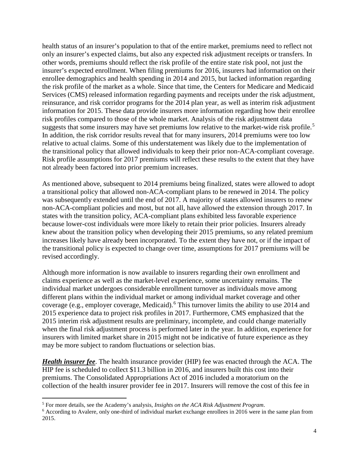health status of an insurer's population to that of the entire market, premiums need to reflect not only an insurer's expected claims, but also any expected risk adjustment receipts or transfers. In other words, premiums should reflect the risk profile of the entire state risk pool, not just the insurer's expected enrollment. When filing premiums for 2016, insurers had information on their enrollee demographics and health spending in 2014 and 2015, but lacked information regarding the risk profile of the market as a whole. Since that time, the Centers for Medicare and Medicaid Services (CMS) released information regarding payments and receipts under the risk adjustment, reinsurance, and risk corridor programs for the 2014 plan year, as well as interim risk adjustment information for 2015. These data provide insurers more information regarding how their enrollee risk profiles compared to those of the whole market. Analysis of the risk adjustment data suggests that some insurers may have set premiums low relative to the market-wide risk profile.<sup>[5](#page-3-0)</sup> In addition, the risk corridor results reveal that for many insurers, 2014 premiums were too low relative to actual claims. Some of this understatement was likely due to the implementation of the transitional policy that allowed individuals to keep their prior non-ACA-compliant coverage. Risk profile assumptions for 2017 premiums will reflect these results to the extent that they have not already been factored into prior premium increases.

As mentioned above, subsequent to 2014 premiums being finalized, states were allowed to adopt a transitional policy that allowed non-ACA-compliant plans to be renewed in 2014. The policy was subsequently extended until the end of 2017. A majority of states allowed insurers to renew non-ACA-compliant policies and most, but not all, have allowed the extension through 2017. In states with the transition policy, ACA-compliant plans exhibited less favorable experience because lower-cost individuals were more likely to retain their prior policies. Insurers already knew about the transition policy when developing their 2015 premiums, so any related premium increases likely have already been incorporated. To the extent they have not, or if the impact of the transitional policy is expected to change over time, assumptions for 2017 premiums will be revised accordingly.

Although more information is now available to insurers regarding their own enrollment and claims experience as well as the market-level experience, some uncertainty remains. The individual market undergoes considerable enrollment turnover as individuals move among different plans within the individual market or among individual market coverage and other coverage (e.g., employer coverage, Medicaid).<sup>[6](#page-3-1)</sup> This turnover limits the ability to use 2014 and 2015 experience data to project risk profiles in 2017. Furthermore, CMS emphasized that the 2015 interim risk adjustment results are preliminary, incomplete, and could change materially when the final risk adjustment process is performed later in the year. In addition, experience for insurers with limited market share in 2015 might not be indicative of future experience as they may be more subject to random fluctuations or selection bias.

*Health insurer fee*. The health insurance provider (HIP) fee was enacted through the ACA. The HIP fee is scheduled to collect \$11.3 billion in 2016, and insurers built this cost into their premiums. The Consolidated Appropriations Act of 2016 included a moratorium on the collection of the health insurer provider fee in 2017. Insurers will remove the cost of this fee in

 $\overline{a}$ 

<span id="page-3-0"></span><sup>5</sup> For more details, see the Academy's analysis, *Insights on the ACA Risk Adjustment Program*.

<span id="page-3-1"></span><sup>6</sup> According to Avalere, only one-third of individual market exchange enrollees in 2016 were in the same plan from 2015.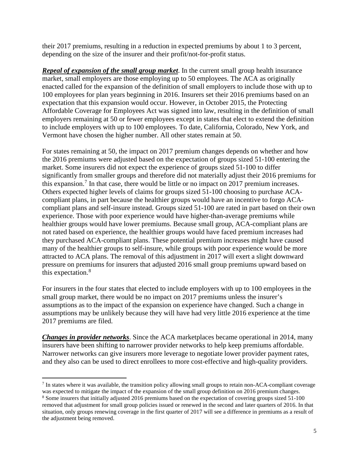their 2017 premiums, resulting in a reduction in expected premiums by about 1 to 3 percent, depending on the size of the insurer and their profit/not-for-profit status.

*Repeal of expansion of the small group market*. In the current small group health insurance market, small employers are those employing up to 50 employees. The ACA as originally enacted called for the expansion of the definition of small employers to include those with up to 100 employees for plan years beginning in 2016. Insurers set their 2016 premiums based on an expectation that this expansion would occur. However, in October 2015, the Protecting Affordable Coverage for Employees Act was signed into law, resulting in the definition of small employers remaining at 50 or fewer employees except in states that elect to extend the definition to include employers with up to 100 employees. To date, California, Colorado, New York, and Vermont have chosen the higher number. All other states remain at 50.

For states remaining at 50, the impact on 2017 premium changes depends on whether and how the 2016 premiums were adjusted based on the expectation of groups sized 51-100 entering the market. Some insurers did not expect the experience of groups sized 51-100 to differ significantly from smaller groups and therefore did not materially adjust their 2016 premiums for this expansion.<sup>[7](#page-4-0)</sup> In that case, there would be little or no impact on 2017 premium increases. Others expected higher levels of claims for groups sized 51-100 choosing to purchase ACAcompliant plans, in part because the healthier groups would have an incentive to forgo ACAcompliant plans and self-insure instead. Groups sized 51-100 are rated in part based on their own experience. Those with poor experience would have higher-than-average premiums while healthier groups would have lower premiums. Because small group, ACA-compliant plans are not rated based on experience, the healthier groups would have faced premium increases had they purchased ACA-compliant plans. These potential premium increases might have caused many of the healthier groups to self-insure, while groups with poor experience would be more attracted to ACA plans. The removal of this adjustment in 2017 will exert a slight downward pressure on premiums for insurers that adjusted 2016 small group premiums upward based on this expectation.[8](#page-4-1)

For insurers in the four states that elected to include employers with up to 100 employees in the small group market, there would be no impact on 2017 premiums unless the insurer's assumptions as to the impact of the expansion on experience have changed. Such a change in assumptions may be unlikely because they will have had very little 2016 experience at the time 2017 premiums are filed.

*Changes in provider networks*. Since the ACA marketplaces became operational in 2014, many insurers have been shifting to narrower provider networks to help keep premiums affordable. Narrower networks can give insurers more leverage to negotiate lower provider payment rates, and they also can be used to direct enrollees to more cost-effective and high-quality providers.

<span id="page-4-0"></span> $\overline{a}$ <sup>7</sup> In states where it was available, the transition policy allowing small groups to retain non-ACA-compliant coverage was expected to mitigate the impact of the expansion of the small group definition on 2016 premium changes.

<span id="page-4-1"></span><sup>8</sup> Some insurers that initially adjusted 2016 premiums based on the expectation of covering groups sized 51-100 removed that adjustment for small group policies issued or renewed in the second and later quarters of 2016. In that situation, only groups renewing coverage in the first quarter of 2017 will see a difference in premiums as a result of the adjustment being removed.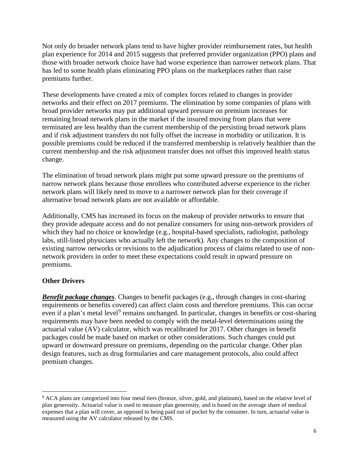Not only do broader network plans tend to have higher provider reimbursement rates, but health plan experience for 2014 and 2015 suggests that preferred provider organization (PPO) plans and those with broader network choice have had worse experience than narrower network plans. That has led to some health plans eliminating PPO plans on the marketplaces rather than raise premiums further.

These developments have created a mix of complex forces related to changes in provider networks and their effect on 2017 premiums. The elimination by some companies of plans with broad provider networks may put additional upward pressure on premium increases for remaining broad network plans in the market if the insured moving from plans that were terminated are less healthy than the current membership of the persisting broad network plans and if risk adjustment transfers do not fully offset the increase in morbidity or utilization. It is possible premiums could be reduced if the transferred membership is relatively healthier than the current membership and the risk adjustment transfer does not offset this improved health status change.

The elimination of broad network plans might put some upward pressure on the premiums of narrow network plans because those enrollees who contributed adverse experience to the richer network plans will likely need to move to a narrower network plan for their coverage if alternative broad network plans are not available or affordable.

Additionally, CMS has increased its focus on the makeup of provider networks to ensure that they provide adequate access and do not penalize consumers for using non-network providers of which they had no choice or knowledge (e.g., hospital-based specialists, radiologist, pathology labs, still-listed physicians who actually left the network). Any changes to the composition of existing narrow networks or revisions to the adjudication process of claims related to use of nonnetwork providers in order to meet these expectations could result in upward pressure on premiums.

# **Other Drivers**

 $\overline{a}$ 

*Benefit package changes*. Changes to benefit packages (e.g., through changes in cost-sharing requirements or benefits covered) can affect claim costs and therefore premiums. This can occur even if a plan's metal level<sup>[9](#page-5-0)</sup> remains unchanged. In particular, changes in benefits or cost-sharing requirements may have been needed to comply with the metal-level determinations using the actuarial value (AV) calculator, which was recalibrated for 2017. Other changes in benefit packages could be made based on market or other considerations. Such changes could put upward or downward pressure on premiums, depending on the particular change. Other plan design features, such as drug formularies and care management protocols, also could affect premium changes.

<span id="page-5-0"></span><sup>&</sup>lt;sup>9</sup> ACA plans are categorized into four metal tiers (bronze, silver, gold, and platinum), based on the relative level of plan generosity. Actuarial value is used to measure plan generosity, and is based on the average share of medical expenses that a plan will cover, as opposed to being paid out of pocket by the consumer. In turn, actuarial value is measured using the AV calculator released by the CMS.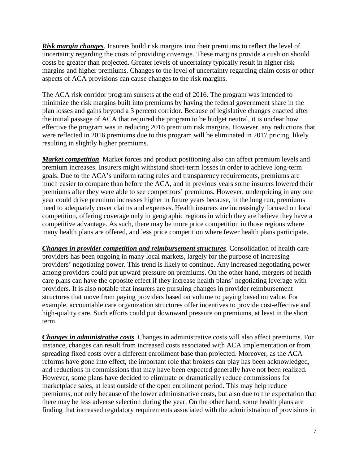*Risk margin changes*. Insurers build risk margins into their premiums to reflect the level of uncertainty regarding the costs of providing coverage. These margins provide a cushion should costs be greater than projected. Greater levels of uncertainty typically result in higher risk margins and higher premiums. Changes to the level of uncertainty regarding claim costs or other aspects of ACA provisions can cause changes to the risk margins.

The ACA risk corridor program sunsets at the end of 2016. The program was intended to minimize the risk margins built into premiums by having the federal government share in the plan losses and gains beyond a 3 percent corridor. Because of legislative changes enacted after the initial passage of ACA that required the program to be budget neutral, it is unclear how effective the program was in reducing 2016 premium risk margins. However, any reductions that were reflected in 2016 premiums due to this program will be eliminated in 2017 pricing, likely resulting in slightly higher premiums.

*Market competition*. Market forces and product positioning also can affect premium levels and premium increases. Insurers might withstand short-term losses in order to achieve long-term goals. Due to the ACA's uniform rating rules and transparency requirements, premiums are much easier to compare than before the ACA, and in previous years some insurers lowered their premiums after they were able to see competitors' premiums. However, underpricing in any one year could drive premium increases higher in future years because, in the long run, premiums need to adequately cover claims and expenses. Health insurers are increasingly focused on local competition, offering coverage only in geographic regions in which they are believe they have a competitive advantage. As such, there may be more price competition in those regions where many health plans are offered, and less price competition where fewer health plans participate.

*Changes in provider competition and reimbursement structures*. Consolidation of health care providers has been ongoing in many local markets, largely for the purpose of increasing providers' negotiating power. This trend is likely to continue. Any increased negotiating power among providers could put upward pressure on premiums. On the other hand, mergers of health care plans can have the opposite effect if they increase health plans' negotiating leverage with providers. It is also notable that insurers are pursuing changes in provider reimbursement structures that move from paying providers based on volume to paying based on value. For example, accountable care organization structures offer incentives to provide cost-effective and high-quality care. Such efforts could put downward pressure on premiums, at least in the short term.

*Changes in administrative costs*. Changes in administrative costs will also affect premiums. For instance, changes can result from increased costs associated with ACA implementation or from spreading fixed costs over a different enrollment base than projected. Moreover, as the ACA reforms have gone into effect, the important role that brokers can play has been acknowledged, and reductions in commissions that may have been expected generally have not been realized. However, some plans have decided to eliminate or dramatically reduce commissions for marketplace sales, at least outside of the open enrollment period. This may help reduce premiums, not only because of the lower administrative costs, but also due to the expectation that there may be less adverse selection during the year. On the other hand, some health plans are finding that increased regulatory requirements associated with the administration of provisions in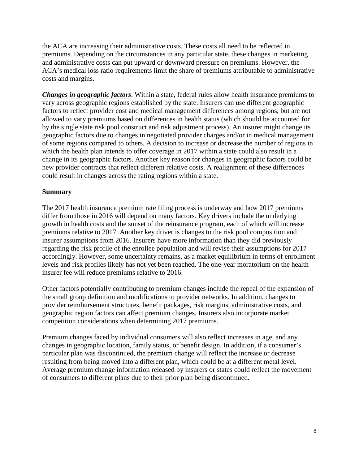the ACA are increasing their administrative costs. These costs all need to be reflected in premiums. Depending on the circumstances in any particular state, these changes in marketing and administrative costs can put upward or downward pressure on premiums. However, the ACA's medical loss ratio requirements limit the share of premiums attributable to administrative costs and margins.

*Changes in geographic factors*. Within a state, federal rules allow health insurance premiums to vary across geographic regions established by the state. Insurers can use different geographic factors to reflect provider cost and medical management differences among regions, but are not allowed to vary premiums based on differences in health status (which should be accounted for by the single state risk pool construct and risk adjustment process). An insurer might change its geographic factors due to changes in negotiated provider charges and/or in medical management of some regions compared to others. A decision to increase or decrease the number of regions in which the health plan intends to offer coverage in 2017 within a state could also result in a change in its geographic factors. Another key reason for changes in geographic factors could be new provider contracts that reflect different relative costs. A realignment of these differences could result in changes across the rating regions within a state.

### **Summary**

The 2017 health insurance premium rate filing process is underway and how 2017 premiums differ from those in 2016 will depend on many factors. Key drivers include the underlying growth in health costs and the sunset of the reinsurance program, each of which will increase premiums relative to 2017. Another key driver is changes to the risk pool composition and insurer assumptions from 2016. Insurers have more information than they did previously regarding the risk profile of the enrollee population and will revise their assumptions for 2017 accordingly. However, some uncertainty remains, as a market equilibrium in terms of enrollment levels and risk profiles likely has not yet been reached. The one-year moratorium on the health insurer fee will reduce premiums relative to 2016.

Other factors potentially contributing to premium changes include the repeal of the expansion of the small group definition and modifications to provider networks. In addition, changes to provider reimbursement structures, benefit packages, risk margins, administrative costs, and geographic region factors can affect premium changes. Insurers also incorporate market competition considerations when determining 2017 premiums.

Premium changes faced by individual consumers will also reflect increases in age, and any changes in geographic location, family status, or benefit design. In addition, if a consumer's particular plan was discontinued, the premium change will reflect the increase or decrease resulting from being moved into a different plan, which could be at a different metal level. Average premium change information released by insurers or states could reflect the movement of consumers to different plans due to their prior plan being discontinued.